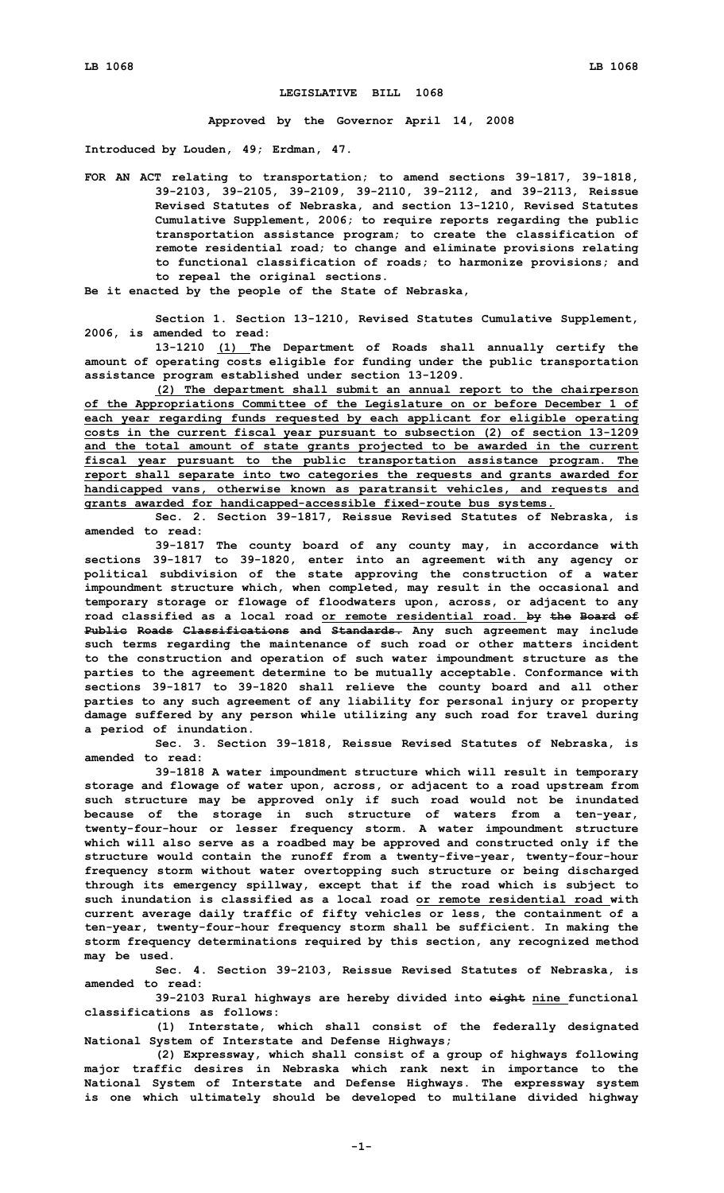## **LEGISLATIVE BILL 1068**

**Approved by the Governor April 14, 2008**

**Introduced by Louden, 49; Erdman, 47.**

- **FOR AN ACT relating to transportation; to amend sections 39-1817, 39-1818, 39-2103, 39-2105, 39-2109, 39-2110, 39-2112, and 39-2113, Reissue Revised Statutes of Nebraska, and section 13-1210, Revised Statutes Cumulative Supplement, 2006; to require reports regarding the public transportation assistance program; to create the classification of remote residential road; to change and eliminate provisions relating to functional classification of roads; to harmonize provisions; and to repeal the original sections.**
- **Be it enacted by the people of the State of Nebraska,**

**Section 1. Section 13-1210, Revised Statutes Cumulative Supplement, 2006, is amended to read:**

**13-1210 (1) The Department of Roads shall annually certify the amount of operating costs eligible for funding under the public transportation assistance program established under section 13-1209.**

**(2) The department shall submit an annual report to the chairperson of the Appropriations Committee of the Legislature on or before December 1 of each year regarding funds requested by each applicant for eligible operating costs in the current fiscal year pursuant to subsection (2) of section 13-1209 and the total amount of state grants projected to be awarded in the current fiscal year pursuant to the public transportation assistance program. The report shall separate into two categories the requests and grants awarded for handicapped vans, otherwise known as paratransit vehicles, and requests and grants awarded for handicapped-accessible fixed-route bus systems.**

**Sec. 2. Section 39-1817, Reissue Revised Statutes of Nebraska, is amended to read:**

**39-1817 The county board of any county may, in accordance with sections 39-1817 to 39-1820, enter into an agreement with any agency or political subdivision of the state approving the construction of <sup>a</sup> water impoundment structure which, when completed, may result in the occasional and temporary storage or flowage of floodwaters upon, across, or adjacent to any road classified as <sup>a</sup> local road or remote residential road. by the Board of Public Roads Classifications and Standards. Any such agreement may include such terms regarding the maintenance of such road or other matters incident to the construction and operation of such water impoundment structure as the parties to the agreement determine to be mutually acceptable. Conformance with sections 39-1817 to 39-1820 shall relieve the county board and all other parties to any such agreement of any liability for personal injury or property damage suffered by any person while utilizing any such road for travel during <sup>a</sup> period of inundation.**

**Sec. 3. Section 39-1818, Reissue Revised Statutes of Nebraska, is amended to read:**

**39-1818 <sup>A</sup> water impoundment structure which will result in temporary storage and flowage of water upon, across, or adjacent to <sup>a</sup> road upstream from such structure may be approved only if such road would not be inundated because of the storage in such structure of waters from <sup>a</sup> ten-year, twenty-four-hour or lesser frequency storm. A water impoundment structure which will also serve as <sup>a</sup> roadbed may be approved and constructed only if the structure would contain the runoff from <sup>a</sup> twenty-five-year, twenty-four-hour frequency storm without water overtopping such structure or being discharged through its emergency spillway, except that if the road which is subject to such inundation is classified as a local road or remote residential road with current average daily traffic of fifty vehicles or less, the containment of <sup>a</sup> ten-year, twenty-four-hour frequency storm shall be sufficient. In making the storm frequency determinations required by this section, any recognized method may be used.**

**Sec. 4. Section 39-2103, Reissue Revised Statutes of Nebraska, is amended to read:**

**39-2103 Rural highways are hereby divided into eight nine functional classifications as follows:**

**(1) Interstate, which shall consist of the federally designated National System of Interstate and Defense Highways;**

**(2) Expressway, which shall consist of <sup>a</sup> group of highways following major traffic desires in Nebraska which rank next in importance to the National System of Interstate and Defense Highways. The expressway system is one which ultimately should be developed to multilane divided highway**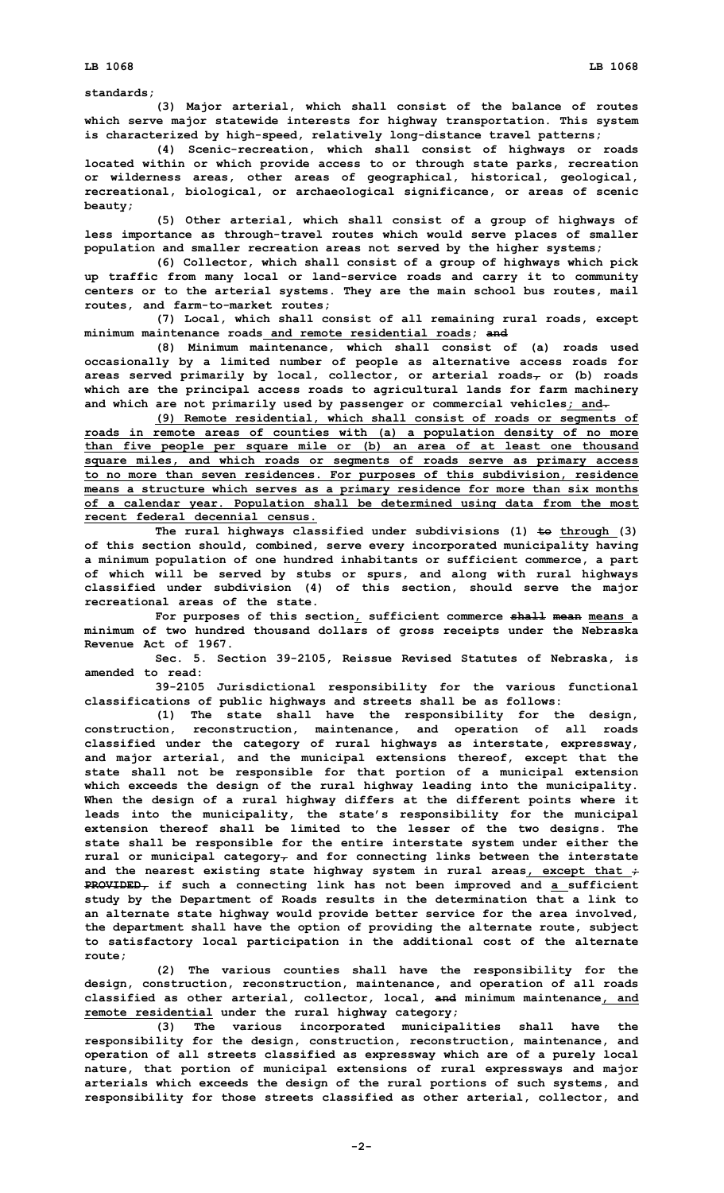## **standards;**

**(3) Major arterial, which shall consist of the balance of routes which serve major statewide interests for highway transportation. This system is characterized by high-speed, relatively long-distance travel patterns;**

**(4) Scenic-recreation, which shall consist of highways or roads located within or which provide access to or through state parks, recreation or wilderness areas, other areas of geographical, historical, geological, recreational, biological, or archaeological significance, or areas of scenic beauty;**

**(5) Other arterial, which shall consist of <sup>a</sup> group of highways of less importance as through-travel routes which would serve places of smaller population and smaller recreation areas not served by the higher systems;**

**(6) Collector, which shall consist of <sup>a</sup> group of highways which pick up traffic from many local or land-service roads and carry it to community centers or to the arterial systems. They are the main school bus routes, mail routes, and farm-to-market routes;**

**(7) Local, which shall consist of all remaining rural roads, except minimum maintenance roads and remote residential roads; and**

**(8) Minimum maintenance, which shall consist of (a) roads used occasionally by <sup>a</sup> limited number of people as alternative access roads for areas served primarily by local, collector, or arterial roads, or (b) roads which are the principal access roads to agricultural lands for farm machinery and which are not primarily used by passenger or commercial vehicles; and.**

**(9) Remote residential, which shall consist of roads or segments of roads in remote areas of counties with (a) <sup>a</sup> population density of no more than five people per square mile or (b) an area of at least one thousand square miles, and which roads or segments of roads serve as primary access to no more than seven residences. For purposes of this subdivision, residence means <sup>a</sup> structure which serves as <sup>a</sup> primary residence for more than six months of <sup>a</sup> calendar year. Population shall be determined using data from the most recent federal decennial census.**

**The rural highways classified under subdivisions (1) to through (3) of this section should, combined, serve every incorporated municipality having <sup>a</sup> minimum population of one hundred inhabitants or sufficient commerce, <sup>a</sup> part of which will be served by stubs or spurs, and along with rural highways classified under subdivision (4) of this section, should serve the major recreational areas of the state.**

**For purposes of this section, sufficient commerce shall mean means <sup>a</sup> minimum of two hundred thousand dollars of gross receipts under the Nebraska Revenue Act of 1967.**

**Sec. 5. Section 39-2105, Reissue Revised Statutes of Nebraska, is amended to read:**

**39-2105 Jurisdictional responsibility for the various functional classifications of public highways and streets shall be as follows:**

**(1) The state shall have the responsibility for the design, construction, reconstruction, maintenance, and operation of all roads classified under the category of rural highways as interstate, expressway, and major arterial, and the municipal extensions thereof, except that the state shall not be responsible for that portion of <sup>a</sup> municipal extension which exceeds the design of the rural highway leading into the municipality. When the design of <sup>a</sup> rural highway differs at the different points where it leads into the municipality, the state's responsibility for the municipal extension thereof shall be limited to the lesser of the two designs. The state shall be responsible for the entire interstate system under either the rural or municipal category, and for connecting links between the interstate and the nearest existing state highway system in rural areas, except that ; PROVIDED, if such <sup>a</sup> connecting link has not been improved and <sup>a</sup> sufficient study by the Department of Roads results in the determination that <sup>a</sup> link to an alternate state highway would provide better service for the area involved, the department shall have the option of providing the alternate route, subject to satisfactory local participation in the additional cost of the alternate route;**

**(2) The various counties shall have the responsibility for the design, construction, reconstruction, maintenance, and operation of all roads classified as other arterial, collector, local, and minimum maintenance, and remote residential under the rural highway category;**

**(3) The various incorporated municipalities shall have the responsibility for the design, construction, reconstruction, maintenance, and operation of all streets classified as expressway which are of <sup>a</sup> purely local nature, that portion of municipal extensions of rural expressways and major arterials which exceeds the design of the rural portions of such systems, and responsibility for those streets classified as other arterial, collector, and**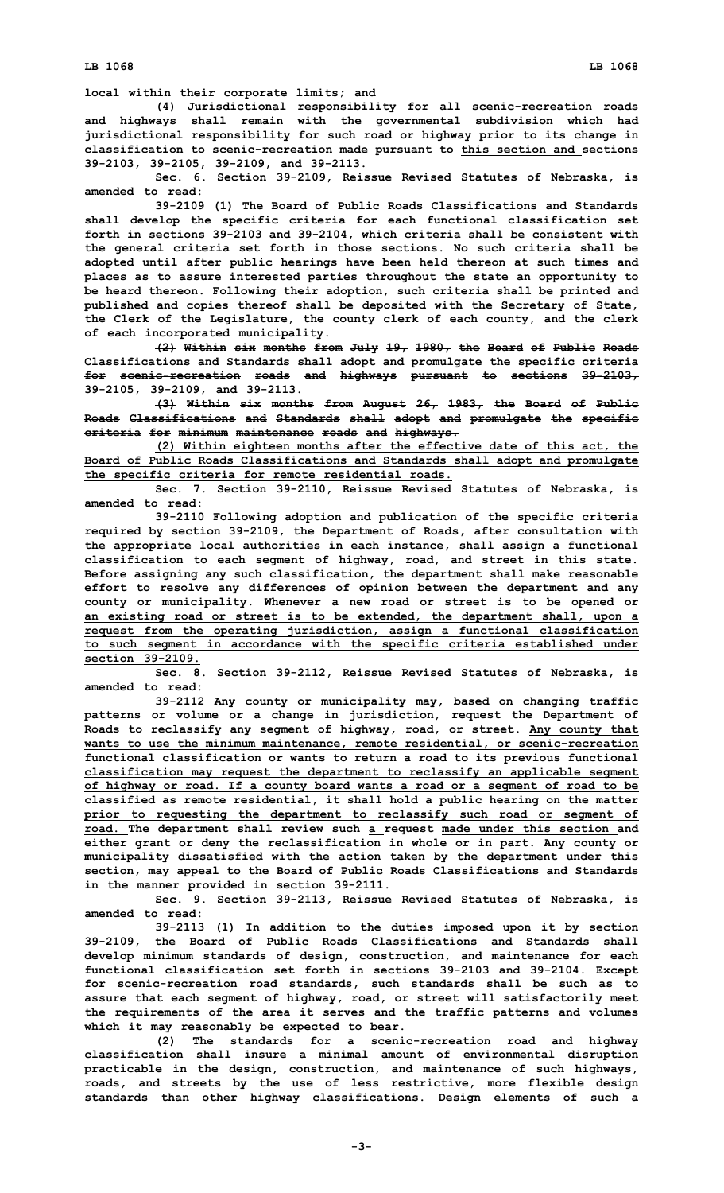**local within their corporate limits; and**

**(4) Jurisdictional responsibility for all scenic-recreation roads and highways shall remain with the governmental subdivision which had jurisdictional responsibility for such road or highway prior to its change in classification to scenic-recreation made pursuant to this section and sections 39-2103, 39-2105, 39-2109, and 39-2113.**

**Sec. 6. Section 39-2109, Reissue Revised Statutes of Nebraska, is amended to read:**

**39-2109 (1) The Board of Public Roads Classifications and Standards shall develop the specific criteria for each functional classification set forth in sections 39-2103 and 39-2104, which criteria shall be consistent with the general criteria set forth in those sections. No such criteria shall be adopted until after public hearings have been held thereon at such times and places as to assure interested parties throughout the state an opportunity to be heard thereon. Following their adoption, such criteria shall be printed and published and copies thereof shall be deposited with the Secretary of State, the Clerk of the Legislature, the county clerk of each county, and the clerk of each incorporated municipality.**

**(2) Within six months from July 19, 1980, the Board of Public Roads Classifications and Standards shall adopt and promulgate the specific criteria for scenic-recreation roads and highways pursuant to sections 39-2103, 39-2105, 39-2109, and 39-2113.**

**(3) Within six months from August 26, 1983, the Board of Public Roads Classifications and Standards shall adopt and promulgate the specific criteria for minimum maintenance roads and highways.**

**(2) Within eighteen months after the effective date of this act, the Board of Public Roads Classifications and Standards shall adopt and promulgate the specific criteria for remote residential roads.**

**Sec. 7. Section 39-2110, Reissue Revised Statutes of Nebraska, is amended to read:**

**39-2110 Following adoption and publication of the specific criteria required by section 39-2109, the Department of Roads, after consultation with the appropriate local authorities in each instance, shall assign <sup>a</sup> functional classification to each segment of highway, road, and street in this state. Before assigning any such classification, the department shall make reasonable effort to resolve any differences of opinion between the department and any county or municipality. Whenever <sup>a</sup> new road or street is to be opened or an existing road or street is to be extended, the department shall, upon <sup>a</sup> request from the operating jurisdiction, assign <sup>a</sup> functional classification to such segment in accordance with the specific criteria established under section 39-2109.**

**Sec. 8. Section 39-2112, Reissue Revised Statutes of Nebraska, is amended to read:**

**39-2112 Any county or municipality may, based on changing traffic patterns or volume or <sup>a</sup> change in jurisdiction, request the Department of Roads to reclassify any segment of highway, road, or street. Any county that wants to use the minimum maintenance, remote residential, or scenic-recreation functional classification or wants to return <sup>a</sup> road to its previous functional classification may request the department to reclassify an applicable segment of highway or road. If <sup>a</sup> county board wants <sup>a</sup> road or <sup>a</sup> segment of road to be classified as remote residential, it shall hold <sup>a</sup> public hearing on the matter prior to requesting the department to reclassify such road or segment of road. The department shall review such <sup>a</sup> request made under this section and either grant or deny the reclassification in whole or in part. Any county or municipality dissatisfied with the action taken by the department under this section, may appeal to the Board of Public Roads Classifications and Standards in the manner provided in section 39-2111.**

**Sec. 9. Section 39-2113, Reissue Revised Statutes of Nebraska, is amended to read:**

**39-2113 (1) In addition to the duties imposed upon it by section 39-2109, the Board of Public Roads Classifications and Standards shall develop minimum standards of design, construction, and maintenance for each functional classification set forth in sections 39-2103 and 39-2104. Except for scenic-recreation road standards, such standards shall be such as to assure that each segment of highway, road, or street will satisfactorily meet the requirements of the area it serves and the traffic patterns and volumes which it may reasonably be expected to bear.**

**(2) The standards for <sup>a</sup> scenic-recreation road and highway classification shall insure <sup>a</sup> minimal amount of environmental disruption practicable in the design, construction, and maintenance of such highways, roads, and streets by the use of less restrictive, more flexible design standards than other highway classifications. Design elements of such <sup>a</sup>**